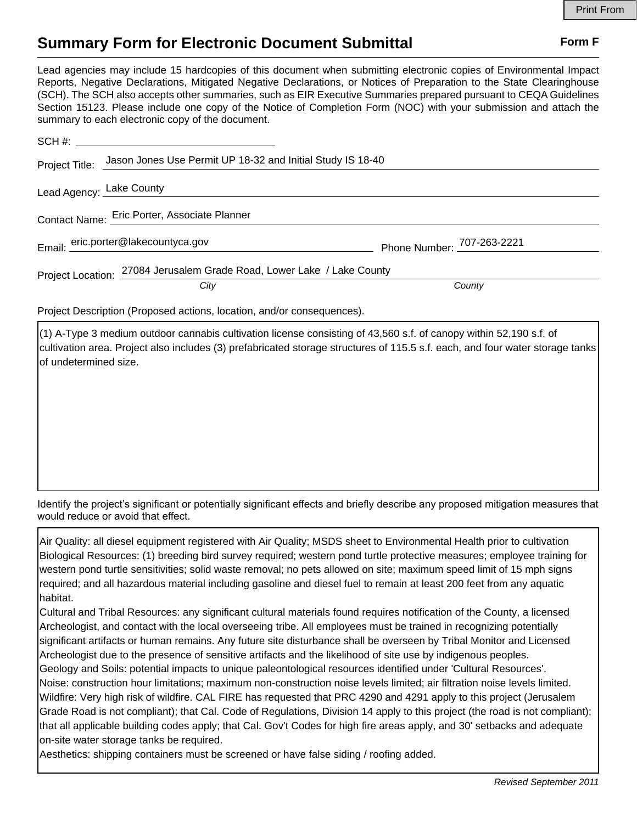## **Summary Form for Electronic Document Submittal Form F Form F**

Lead agencies may include 15 hardcopies of this document when submitting electronic copies of Environmental Impact Reports, Negative Declarations, Mitigated Negative Declarations, or Notices of Preparation to the State Clearinghouse (SCH). The SCH also accepts other summaries, such as EIR Executive Summaries prepared pursuant to CEQA Guidelines Section 15123. Please include one copy of the Notice of Completion Form (NOC) with your submission and attach the summary to each electronic copy of the document.

|                                              | Project Title: Jason Jones Use Permit UP 18-32 and Initial Study IS 18-40 |                            |
|----------------------------------------------|---------------------------------------------------------------------------|----------------------------|
| Lead Agency: Lake County                     |                                                                           |                            |
| Contact Name: Eric Porter, Associate Planner |                                                                           |                            |
|                                              | Email: eric.porter@lakecountyca.gov                                       | Phone Number: 707-263-2221 |
|                                              | Project Location: 27084 Jerusalem Grade Road, Lower Lake / Lake County    |                            |
|                                              | City                                                                      | County                     |

Project Description (Proposed actions, location, and/or consequences).

(1) A-Type 3 medium outdoor cannabis cultivation license consisting of 43,560 s.f. of canopy within 52,190 s.f. of cultivation area. Project also includes (3) prefabricated storage structures of 115.5 s.f. each, and four water storage tanks of undetermined size.

Identify the project's significant or potentially significant effects and briefly describe any proposed mitigation measures that would reduce or avoid that effect.

Air Quality: all diesel equipment registered with Air Quality; MSDS sheet to Environmental Health prior to cultivation Biological Resources: (1) breeding bird survey required; western pond turtle protective measures; employee training for western pond turtle sensitivities; solid waste removal; no pets allowed on site; maximum speed limit of 15 mph signs required; and all hazardous material including gasoline and diesel fuel to remain at least 200 feet from any aquatic habitat.

Cultural and Tribal Resources: any significant cultural materials found requires notification of the County, a licensed Archeologist, and contact with the local overseeing tribe. All employees must be trained in recognizing potentially significant artifacts or human remains. Any future site disturbance shall be overseen by Tribal Monitor and Licensed Archeologist due to the presence of sensitive artifacts and the likelihood of site use by indigenous peoples.

Geology and Soils: potential impacts to unique paleontological resources identified under 'Cultural Resources'. Noise: construction hour limitations; maximum non-construction noise levels limited; air filtration noise levels limited. Wildfire: Very high risk of wildfire. CAL FIRE has requested that PRC 4290 and 4291 apply to this project (Jerusalem Grade Road is not compliant); that Cal. Code of Regulations, Division 14 apply to this project (the road is not compliant); that all applicable building codes apply; that Cal. Gov't Codes for high fire areas apply, and 30' setbacks and adequate on-site water storage tanks be required.

Aesthetics: shipping containers must be screened or have false siding / roofing added.